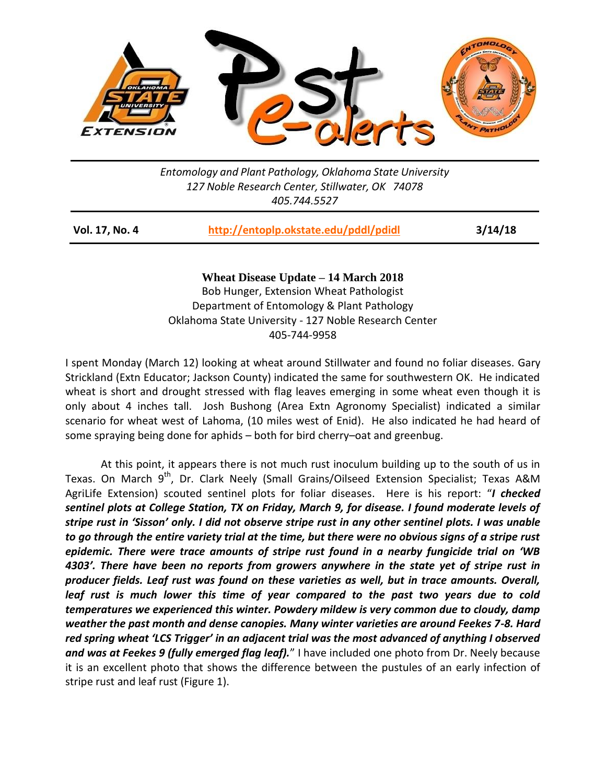

*Entomology and Plant Pathology, Oklahoma State University 127 Noble Research Center, Stillwater, OK 74078 405.744.5527*

| Vol. 17, No. 4 | http://entoplp.okstate.edu/pddl/pdidl | 3/14/18 |
|----------------|---------------------------------------|---------|
|                |                                       |         |

**Wheat Disease Update – 14 March 2018** Bob Hunger, Extension Wheat Pathologist Department of Entomology & Plant Pathology Oklahoma State University - 127 Noble Research Center 405-744-9958

I spent Monday (March 12) looking at wheat around Stillwater and found no foliar diseases. Gary Strickland (Extn Educator; Jackson County) indicated the same for southwestern OK. He indicated wheat is short and drought stressed with flag leaves emerging in some wheat even though it is only about 4 inches tall. Josh Bushong (Area Extn Agronomy Specialist) indicated a similar scenario for wheat west of Lahoma, (10 miles west of Enid). He also indicated he had heard of some spraying being done for aphids – both for bird cherry–oat and greenbug.

At this point, it appears there is not much rust inoculum building up to the south of us in Texas. On March 9<sup>th</sup>, Dr. Clark Neely (Small Grains/Oilseed Extension Specialist; Texas A&M AgriLife Extension) scouted sentinel plots for foliar diseases. Here is his report: "*I checked sentinel plots at College Station, TX on Friday, March 9, for disease. I found moderate levels of stripe rust in 'Sisson' only. I did not observe stripe rust in any other sentinel plots. I was unable to go through the entire variety trial at the time, but there were no obvious signs of a stripe rust epidemic. There were trace amounts of stripe rust found in a nearby fungicide trial on 'WB 4303'. There have been no reports from growers anywhere in the state yet of stripe rust in producer fields. Leaf rust was found on these varieties as well, but in trace amounts. Overall, leaf rust is much lower this time of year compared to the past two years due to cold temperatures we experienced this winter. Powdery mildew is very common due to cloudy, damp weather the past month and dense canopies. Many winter varieties are around Feekes 7-8. Hard red spring wheat 'LCS Trigger' in an adjacent trial was the most advanced of anything I observed and was at Feekes 9 (fully emerged flag leaf).*" I have included one photo from Dr. Neely because it is an excellent photo that shows the difference between the pustules of an early infection of stripe rust and leaf rust (Figure 1).